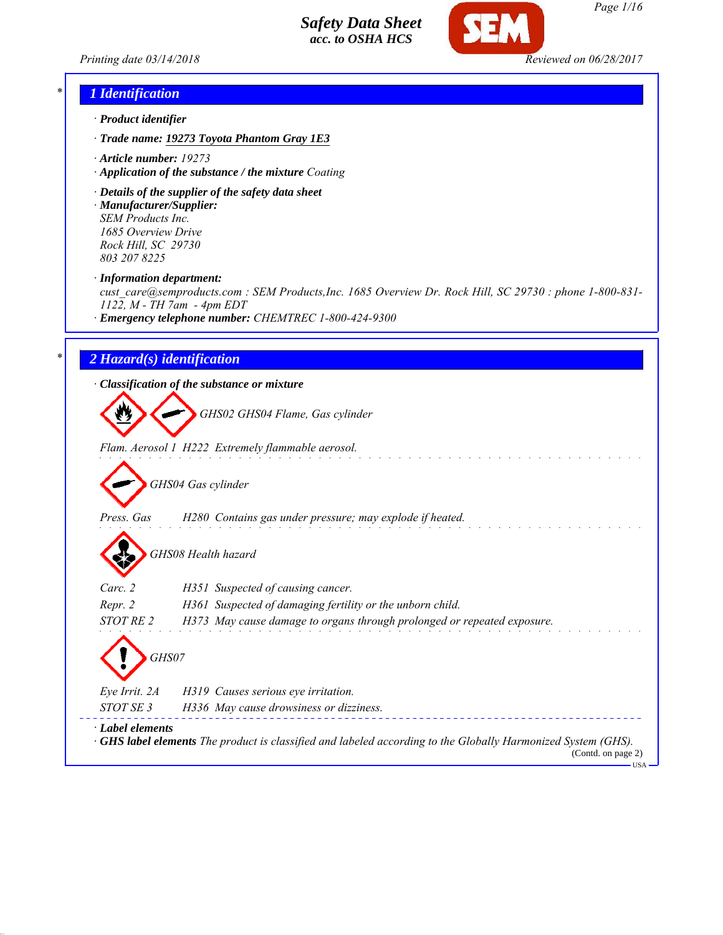



## *\* 1 Identification*

- *· Product identifier*
- *· Trade name: 19273 Toyota Phantom Gray 1E3*
- *· Article number: 19273*
- *· Application of the substance / the mixture Coating*
- *· Details of the supplier of the safety data sheet · Manufacturer/Supplier: SEM Products Inc.*

*1685 Overview Drive Rock Hill, SC 29730 803 207 8225*

*· Information department:*

*cust\_care@semproducts.com : SEM Products,Inc. 1685 Overview Dr. Rock Hill, SC 29730 : phone 1-800-831- 1122, M - TH 7am - 4pm EDT*

*· Emergency telephone number: CHEMTREC 1-800-424-9300*

### *\* 2 Hazard(s) identification*

*· Classification of the substance or mixture*

*GHS02 GHS04 Flame, Gas cylinder*

*Flam. Aerosol 1 H222 Extremely flammable aerosol.*

*GHS04 Gas cylinder*

*Press. Gas H280 Contains gas under pressure; may explode if heated.*

*GHS08 Health hazard*

| Carc. 2                | H351 Suspected of causing cancer.                                                                                   |
|------------------------|---------------------------------------------------------------------------------------------------------------------|
| Repr. 2                | H361 Suspected of damaging fertility or the unborn child.                                                           |
| STOT RE 2              | H373 May cause damage to organs through prolonged or repeated exposure.                                             |
| GHS07<br>Eye Irrit. 2A | H319 Causes serious eye irritation.                                                                                 |
|                        |                                                                                                                     |
| STOT SE 3              | H336 May cause drowsiness or dizziness.                                                                             |
| · Label elements       | $\cdot$ GHS label elements The product is classified and labeled according to the Globally Harmonized System (GHS). |

(Contd. on page 2) USA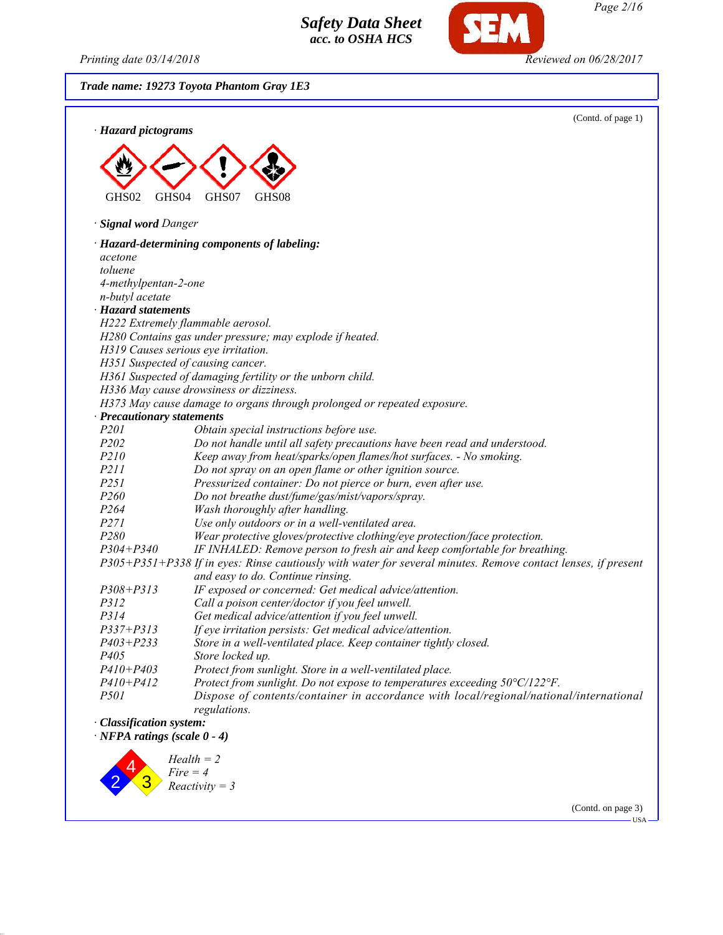*Printing date 03/14/2018 Reviewed on 06/28/2017*

*Page 2/16*

*Trade name: 19273 Toyota Phantom Gray 1E3*



3 *Reactivity = 3*

(Contd. on page 3)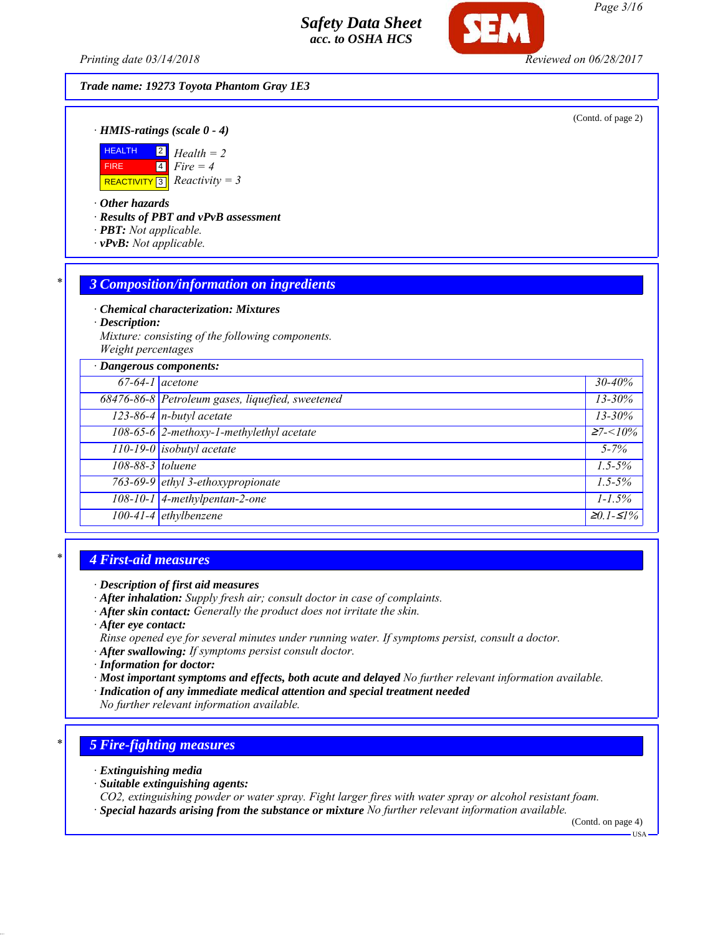*Printing date 03/14/2018 Reviewed on 06/28/2017*

*Trade name: 19273 Toyota Phantom Gray 1E3*

(Contd. of page 2)

*· HMIS-ratings (scale 0 - 4)*



*· Other hazards*

*· Results of PBT and vPvB assessment*

- *· PBT: Not applicable.*
- *· vPvB: Not applicable.*

### *\* 3 Composition/information on ingredients*

*· Chemical characterization: Mixtures*

*· Description:*

*Mixture: consisting of the following components. Weight percentages*

| · Dangerous components: |                                                  |                                 |
|-------------------------|--------------------------------------------------|---------------------------------|
| $67-64-1$ acetone       |                                                  | $30 - 40\%$                     |
|                         | 68476-86-8 Petroleum gases, liquefied, sweetened | $13 - 30\%$                     |
|                         | $123-86-4$ n-butyl acetate                       | $13 - 30\%$                     |
|                         | 108-65-6 2-methoxy-1-methylethyl acetate         | $\geq 7 < 10\%$                 |
|                         | $\boxed{110-19-0}$ isobutyl acetate              | $5 - 7\%$                       |
| 108-88-3 toluene        |                                                  | $1.5 - 5\%$                     |
|                         | 763-69-9 ethyl 3-ethoxypropionate                | $1.5 - 5\%$                     |
|                         | $108-10-1$ 4-methylpentan-2-one                  | $1 - 1.5\%$                     |
|                         | 100-41-4 ethylbenzene                            | $\overline{\geq}0.1 - \leq 1\%$ |

### *\* 4 First-aid measures*

- *· After inhalation: Supply fresh air; consult doctor in case of complaints.*
- *· After skin contact: Generally the product does not irritate the skin.*
- *· After eye contact:*
- *Rinse opened eye for several minutes under running water. If symptoms persist, consult a doctor.*
- *· After swallowing: If symptoms persist consult doctor.*
- *· Information for doctor:*
- *· Most important symptoms and effects, both acute and delayed No further relevant information available.*
- *· Indication of any immediate medical attention and special treatment needed*
- *No further relevant information available.*

## *\* 5 Fire-fighting measures*

- *· Extinguishing media*
- *· Suitable extinguishing agents:*
- *CO2, extinguishing powder or water spray. Fight larger fires with water spray or alcohol resistant foam.*
- *· Special hazards arising from the substance or mixture No further relevant information available.*

(Contd. on page 4)

USA

*Page 3/16*

*<sup>·</sup> Description of first aid measures*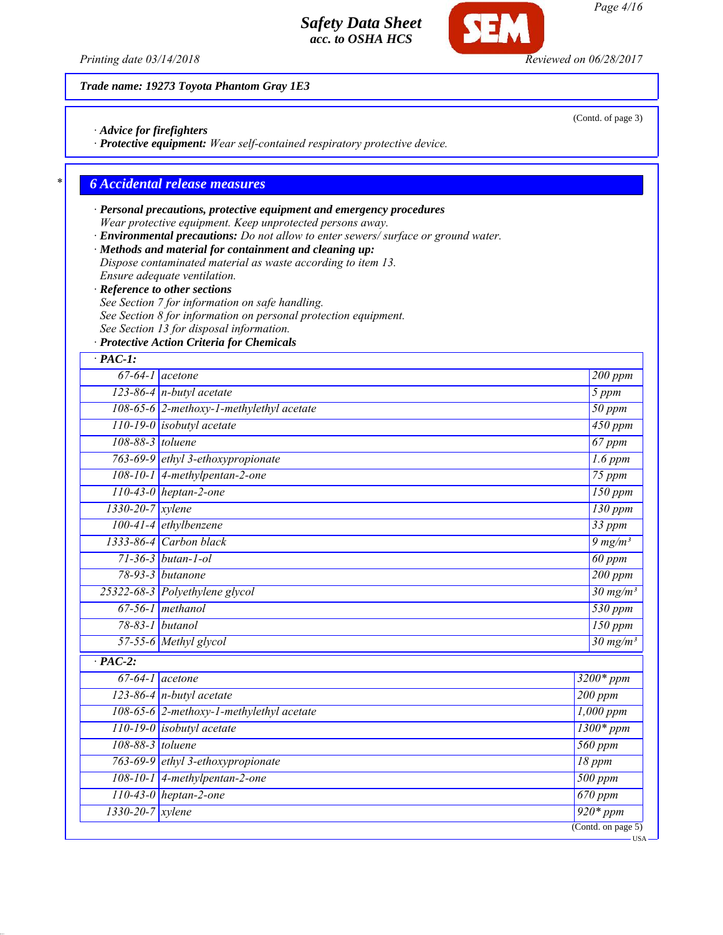*Printing date 03/14/2018 Reviewed on 06/28/2017*

*Trade name: 19273 Toyota Phantom Gray 1E3*

*· Advice for firefighters*

*· Protective equipment: Wear self-contained respiratory protective device.*

## *\* 6 Accidental release measures*

## *· Personal precautions, protective equipment and emergency procedures Wear protective equipment. Keep unprotected persons away.*

*· Environmental precautions: Do not allow to enter sewers/ surface or ground water.*

*· Methods and material for containment and cleaning up: Dispose contaminated material as waste according to item 13.*

*Ensure adequate ventilation.*

*· Reference to other sections*

*See Section 7 for information on safe handling.*

*See Section 8 for information on personal protection equipment.*

*See Section 13 for disposal information.*

*· Protective Action Criteria for Chemicals*

| $·$ PAC-1:           |                                          |                       |
|----------------------|------------------------------------------|-----------------------|
|                      | $67-64-1$ acetone                        | 200 ppm               |
|                      | 123-86-4 n-butyl acetate                 | 5 ppm                 |
|                      | 108-65-6 2-methoxy-1-methylethyl acetate | $\overline{50}$ ppm   |
|                      | $110-19-0$ isobutyl acetate              |                       |
|                      | 108-88-3 toluene                         |                       |
|                      | 763-69-9 ethyl 3-ethoxypropionate        |                       |
|                      | 108-10-1 4-methylpentan-2-one            |                       |
|                      | $110-43-0$ heptan-2-one                  |                       |
| $1330-20-7$ xylene   |                                          | 130 ppm               |
|                      | $100-41-4$ ethylbenzene                  | $33$ ppm              |
|                      | 1333-86-4 Carbon black                   | $9 \, mg/m3$          |
|                      | 71-36-3 butan-1-ol                       | $60$ ppm              |
|                      | 78-93-3 butanone                         | $200$ ppm             |
|                      | 25322-68-3 Polyethylene glycol           | $30 \frac{mg}{m^3}$   |
|                      | $67-56-1$ methanol                       | $\overline{530\ ppm}$ |
|                      | 78-83-1 butanol                          | $150$ ppm             |
|                      | 57-55-6 Methyl glycol                    | $30 \text{ mg/m}^3$   |
| $\overline{PAC-2}$ : |                                          |                       |
|                      | $67-64-1$ acetone                        | $3200*$ ppm           |
|                      | 123-86-4 $n$ -butyl acetate              | 200 ppm               |
|                      | 108-65-6 2-methoxy-1-methylethyl acetate | $1,000$ ppm           |
|                      | 110-19-0 isobutyl acetate                | $1300*ppm$            |
| 108-88-3 toluene     |                                          | $560$ ppm             |
|                      | 763-69-9 ethyl 3-ethoxypropionate        | 18 ppm                |
|                      | 108-10-1 4-methylpentan-2-one            | $\overline{500}$ ppm  |
|                      | $110-43-0$ heptan-2-one                  | $670$ ppm             |
| 1330-20-7 xylene     |                                          | $\frac{1}{920*ppm}$   |
|                      |                                          | (Contd. on page $5$ ) |

USA

(Contd. of page 3)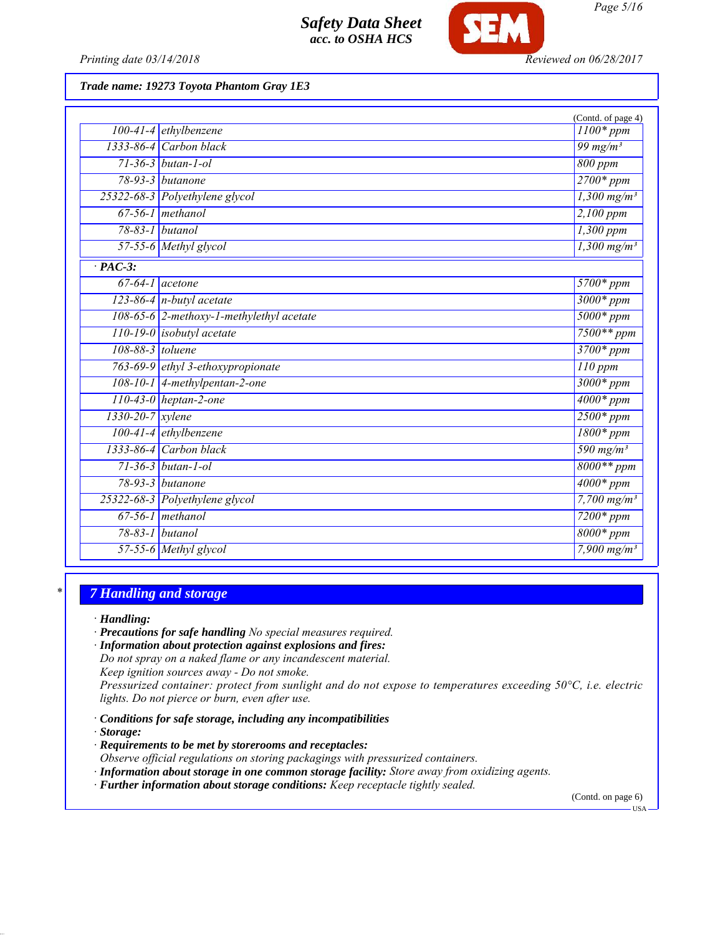

*Printing date 03/14/2018 Reviewed on 06/28/2017*

*Trade name: 19273 Toyota Phantom Gray 1E3*

|                      |                                          | (Contd. of page 4)        |
|----------------------|------------------------------------------|---------------------------|
|                      | $100-41-4$ ethylbenzene                  | $1100*ppm$                |
|                      | $1333-86-4$ Carbon black                 | 99 mg/m $3$               |
|                      | $71 - 36 - 3$ butan-1-ol                 | 800 ppm                   |
|                      | $78-93-3$ butanone                       | $2700*ppm$                |
|                      | 25322-68-3 Polyethylene glycol           | $1,300$ mg/m <sup>3</sup> |
|                      | $67-56-1$ methanol                       | 2,100 ppm                 |
|                      | $78-83-1$ butanol                        | $1,300$ ppm               |
|                      | $\overline{57-55}$ -6 Methyl glycol      | $1,300$ mg/m <sup>3</sup> |
| $\overline{PAC-3}$ : |                                          |                           |
| $67-64-1$ acetone    |                                          | $5700*ppm$                |
|                      | $123-86-4$ n-butyl acetate               | $3000*ppm$                |
|                      | 108-65-6 2-methoxy-1-methylethyl acetate | $5000*ppm$                |
|                      | $110-19-0$ isobutyl acetate              | $7500**$ ppm              |
| 108-88-3 toluene     |                                          | 3700* ppm                 |
|                      | 763-69-9 ethyl 3-ethoxypropionate        | $110$ ppm                 |
|                      | $108-10-1$ 4-methylpentan-2-one          | $3000*ppm$                |
|                      | $110-43-0$ heptan-2-one                  | $4000*ppm$                |
| 1330-20-7 xylene     |                                          | $2500*ppm$                |
|                      | $100-41-4$ ethylbenzene                  | $1800*ppm$                |
|                      | 1333-86-4 Carbon black                   | 590 mg/m <sup>3</sup>     |
|                      | $71-36-3$ butan-1-ol                     | $8000**ppm$               |
|                      | 78-93-3 butanone                         | $4000*$ ppm               |
|                      | 25322-68-3 Polyethylene glycol           | 7,700 $mg/m^3$            |
|                      | $67-56-1$ methanol                       | $7200*ppm$                |
| 78-83-1 butanol      |                                          | $8000*$ ppm               |
|                      | 57-55-6 Methyl glycol                    | 7,900 $mg/m^3$            |

### *\* 7 Handling and storage*

*· Handling:*

*· Precautions for safe handling No special measures required.*

*· Information about protection against explosions and fires:*

*Do not spray on a naked flame or any incandescent material.*

*Keep ignition sources away - Do not smoke.*

*Pressurized container: protect from sunlight and do not expose to temperatures exceeding 50°C, i.e. electric lights. Do not pierce or burn, even after use.*

*· Conditions for safe storage, including any incompatibilities*

*· Storage:*

*· Requirements to be met by storerooms and receptacles:*

*Observe official regulations on storing packagings with pressurized containers.*

*· Information about storage in one common storage facility: Store away from oxidizing agents.*

*· Further information about storage conditions: Keep receptacle tightly sealed.*

(Contd. on page 6)

 $-<sub>USA</sub>$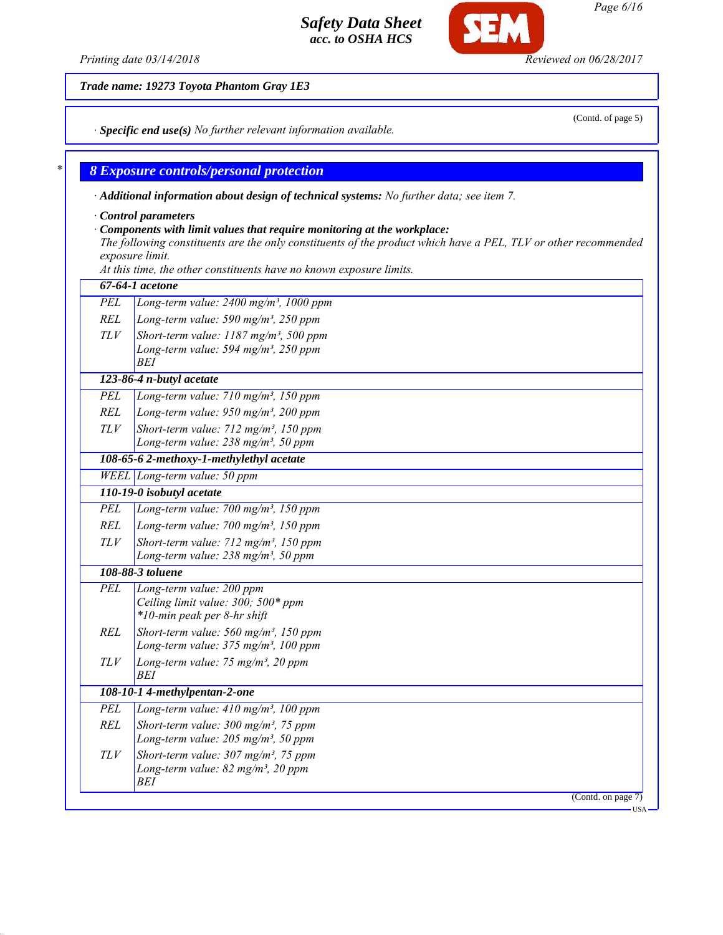*Printing date 03/14/2018 Reviewed on 06/28/2017*

*Trade name: 19273 Toyota Phantom Gray 1E3*

*· Specific end use(s) No further relevant information available.*

### *\* 8 Exposure controls/personal protection*

*· Additional information about design of technical systems: No further data; see item 7.*

*· Control parameters*

### *· Components with limit values that require monitoring at the workplace:*

*The following constituents are the only constituents of the product which have a PEL, TLV or other recommended exposure limit.*

*At this time, the other constituents have no known exposure limits.*

|            | 67-64-1 acetone                                                                                                 |
|------------|-----------------------------------------------------------------------------------------------------------------|
| PEL        | Long-term value: $2400$ mg/m <sup>3</sup> , 1000 ppm                                                            |
| <b>REL</b> | Long-term value: 590 mg/m <sup>3</sup> , 250 ppm                                                                |
| TLV        | Short-term value: $1187$ mg/m <sup>3</sup> , 500 ppm<br>Long-term value: 594 mg/m <sup>3</sup> , 250 ppm<br>BEI |
|            | 123-86-4 n-butyl acetate                                                                                        |
| PEL        | Long-term value: 710 mg/m <sup>3</sup> , 150 ppm                                                                |
| <b>REL</b> | Long-term value: $950$ mg/m <sup>3</sup> , 200 ppm                                                              |
| TLV        | Short-term value: 712 mg/m <sup>3</sup> , 150 ppm<br>Long-term value: 238 mg/m <sup>3</sup> , 50 ppm            |
|            | 108-65-6 2-methoxy-1-methylethyl acetate                                                                        |
|            | WEEL Long-term value: 50 ppm                                                                                    |
|            | 110-19-0 isobutyl acetate                                                                                       |
| <b>PEL</b> | Long-term value: 700 mg/m <sup>3</sup> , 150 ppm                                                                |
| <b>REL</b> | Long-term value: $700$ mg/m <sup>3</sup> , 150 ppm                                                              |
| TLV        | Short-term value: $712$ mg/m <sup>3</sup> , 150 ppm                                                             |
|            | Long-term value: 238 mg/m <sup>3</sup> , 50 ppm                                                                 |
|            | 108-88-3 toluene                                                                                                |
| PEL        | Long-term value: 200 ppm<br>Ceiling limit value: 300; 500* ppm<br>*10-min peak per 8-hr shift                   |
| <b>REL</b> | Short-term value: $560$ mg/m <sup>3</sup> , 150 ppm                                                             |
|            | Long-term value: 375 mg/m <sup>3</sup> , 100 ppm                                                                |
| TLV        | Long-term value: 75 mg/m <sup>3</sup> , 20 ppm<br>BEI                                                           |
|            | 108-10-1 4-methylpentan-2-one                                                                                   |
| <b>PEL</b> | Long-term value: $410$ mg/m <sup>3</sup> , 100 ppm                                                              |
| REL        | Short-term value: $300$ mg/m <sup>3</sup> , 75 ppm                                                              |
|            | Long-term value: 205 mg/m <sup>3</sup> , 50 ppm                                                                 |
| TLV        | Short-term value: $307 \text{ mg/m}^3$ , 75 ppm                                                                 |
|            | Long-term value: 82 mg/m <sup>3</sup> , 20 ppm<br>BEI                                                           |
|            | (Contd. on page $7$ )                                                                                           |
|            |                                                                                                                 |

*Page 6/16*

(Contd. of page 5)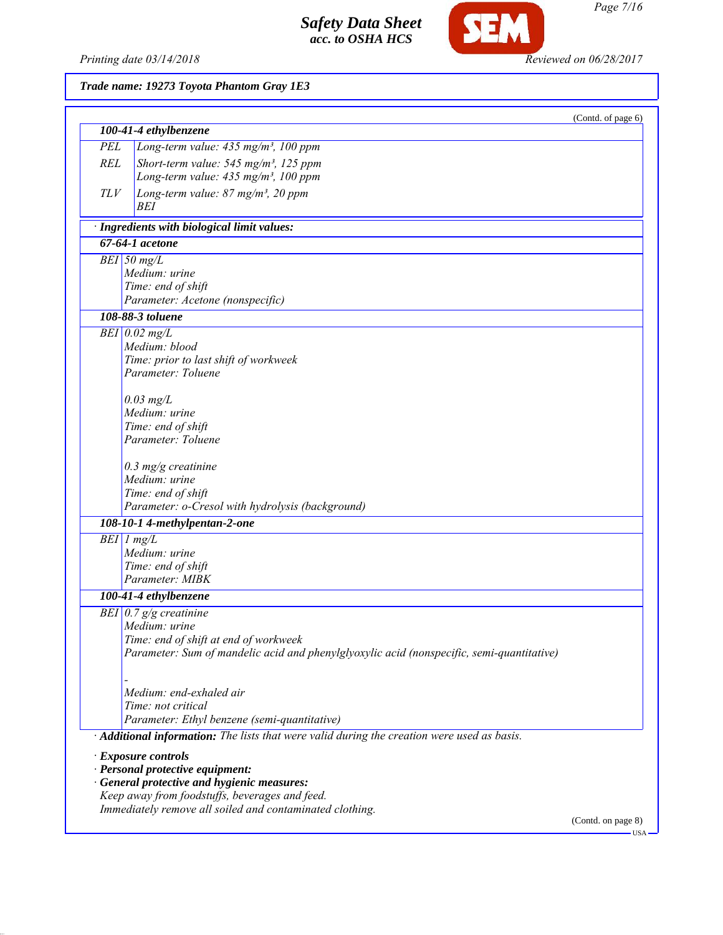

*100-41-4 ethylbenzene*

*Trade name: 19273 Toyota Phantom Gray 1E3*

*PEL Long-term value: 435 mg/m³, 100 ppm*

*Page 7/16*

(Contd. of page 6)

# **SEM**

| <b>REL</b> | Short-term value: $545$ mg/m <sup>3</sup> , 125 ppm<br>Long-term value: 435 mg/m <sup>3</sup> , 100 ppm |                    |
|------------|---------------------------------------------------------------------------------------------------------|--------------------|
|            |                                                                                                         |                    |
| TLV        | Long-term value: $87$ mg/m <sup>3</sup> , 20 ppm<br>BEI                                                 |                    |
|            | · Ingredients with biological limit values:                                                             |                    |
|            | $67-64-1$ acetone                                                                                       |                    |
|            | $BEI$ 50 mg/L                                                                                           |                    |
|            | Medium: urine                                                                                           |                    |
|            | Time: end of shift                                                                                      |                    |
|            | Parameter: Acetone (nonspecific)                                                                        |                    |
|            | 108-88-3 toluene                                                                                        |                    |
|            | $BEI$ 0.02 mg/L                                                                                         |                    |
|            | Medium: blood                                                                                           |                    |
|            | Time: prior to last shift of workweek                                                                   |                    |
|            | Parameter: Toluene                                                                                      |                    |
|            | $0.03$ mg/L                                                                                             |                    |
|            | Medium: urine                                                                                           |                    |
|            | Time: end of shift                                                                                      |                    |
|            | Parameter: Toluene                                                                                      |                    |
|            | $0.3$ mg/g creatinine                                                                                   |                    |
|            | Medium: urine                                                                                           |                    |
|            | Time: end of shift                                                                                      |                    |
|            | Parameter: o-Cresol with hydrolysis (background)                                                        |                    |
|            | 108-10-1 4-methylpentan-2-one                                                                           |                    |
|            | $BEI$ 1 mg/L                                                                                            |                    |
|            | Medium: urine                                                                                           |                    |
|            | Time: end of shift                                                                                      |                    |
|            | Parameter: MIBK                                                                                         |                    |
|            | 100-41-4 ethylbenzene                                                                                   |                    |
|            | BEI $0.7$ g/g creatinine                                                                                |                    |
|            | Medium: urine                                                                                           |                    |
|            | Time: end of shift at end of workweek                                                                   |                    |
|            | Parameter: Sum of mandelic acid and phenylglyoxylic acid (nonspecific, semi-quantitative)               |                    |
|            | Medium: end-exhaled air                                                                                 |                    |
|            | Time: not critical                                                                                      |                    |
|            | Parameter: Ethyl benzene (semi-quantitative)                                                            |                    |
|            | Additional information: The lists that were valid during the creation were used as basis.               |                    |
|            |                                                                                                         |                    |
|            | · Exposure controls                                                                                     |                    |
|            | · Personal protective equipment:<br>· General protective and hygienic measures:                         |                    |
|            | Keep away from foodstuffs, beverages and feed.                                                          |                    |
|            | Immediately remove all soiled and contaminated clothing.                                                |                    |
|            |                                                                                                         | (Contd. on page 8) |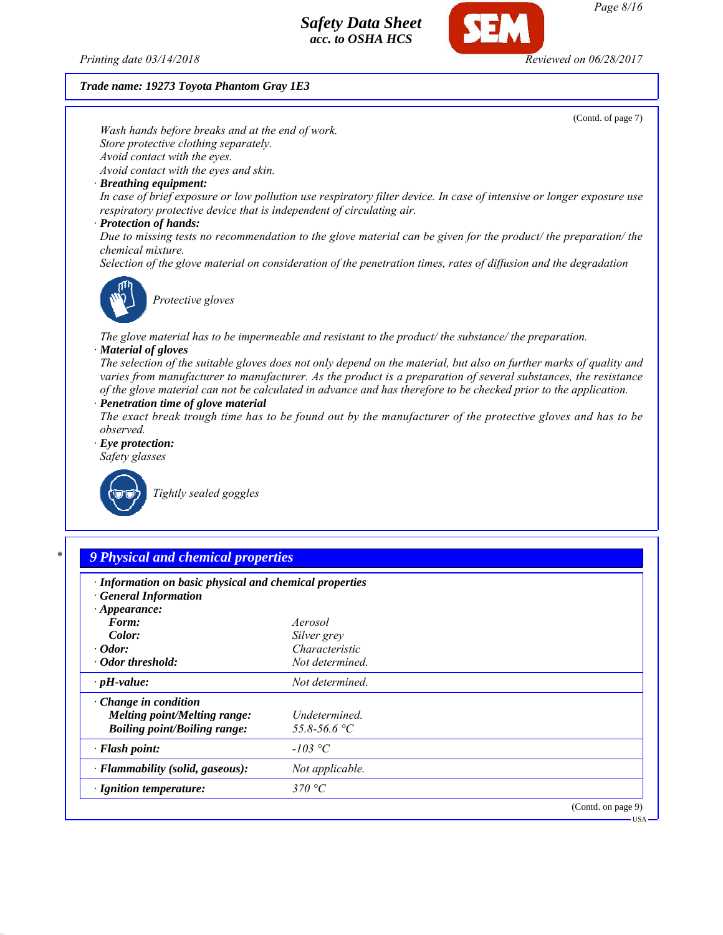

### *Trade name: 19273 Toyota Phantom Gray 1E3*



| $\cdot$ Appearance:                                                                                |                               |                    |
|----------------------------------------------------------------------------------------------------|-------------------------------|--------------------|
| Form:                                                                                              | Aerosol                       |                    |
| Color:                                                                                             | Silver grey                   |                    |
| $\cdot$ Odor:                                                                                      | Characteristic                |                    |
| · Odor threshold:                                                                                  | Not determined.               |                    |
| $\cdot$ pH-value:                                                                                  | Not determined.               |                    |
| $\cdot$ Change in condition<br>Melting point/Melting range:<br><b>Boiling point/Boiling range:</b> | Undetermined.<br>55.8-56.6 °C |                    |
| $\cdot$ Flash point:                                                                               | $-103$ °C                     |                    |
| · Flammability (solid, gaseous):                                                                   | Not applicable.               |                    |
| $\cdot$ Ignition temperature:                                                                      | 370 °C                        |                    |
|                                                                                                    |                               | (Contd. on page 9) |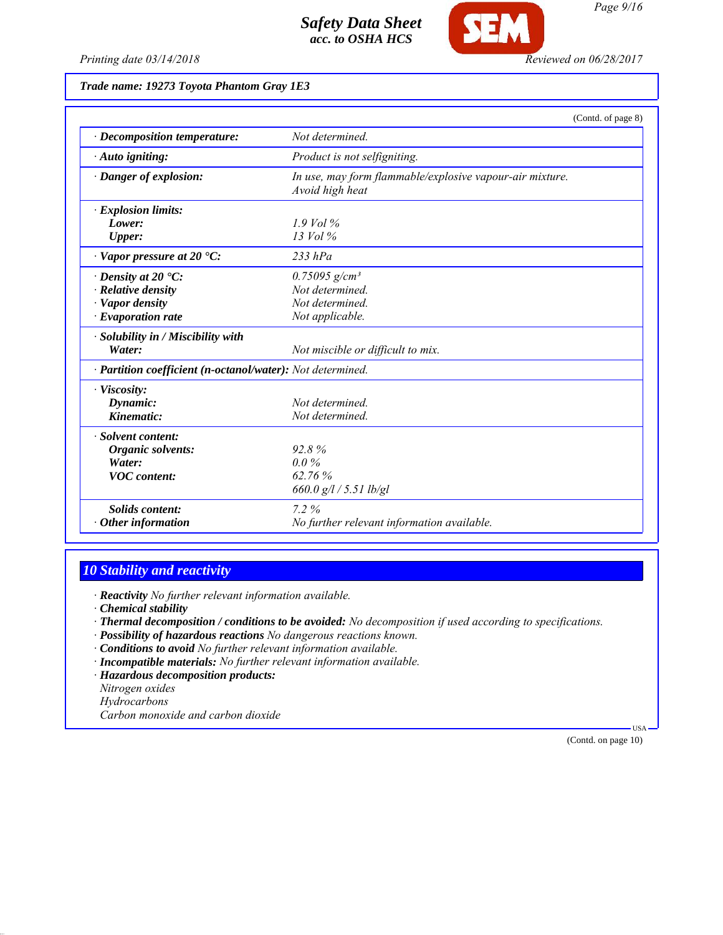



*Page 9/16*

*Printing date 03/14/2018 Reviewed on 06/28/2017*

*Trade name: 19273 Toyota Phantom Gray 1E3*

|                                                            | (Contd. of page 8)                                                          |
|------------------------------------------------------------|-----------------------------------------------------------------------------|
| · Decomposition temperature:                               | Not determined.                                                             |
| · Auto igniting:                                           | Product is not selfigniting.                                                |
| · Danger of explosion:                                     | In use, may form flammable/explosive vapour-air mixture.<br>Avoid high heat |
| · Explosion limits:                                        |                                                                             |
| Lower:                                                     | $1.9$ Vol %                                                                 |
| Upper:                                                     | $13$ Vol $\%$                                                               |
| $\cdot$ Vapor pressure at 20 $\cdot$ C:                    | $233$ hPa                                                                   |
| $\cdot$ Density at 20 $\cdot$ C:                           | $0.75095$ g/cm <sup>3</sup>                                                 |
| · Relative density                                         | Not determined.                                                             |
| · Vapor density                                            | Not determined                                                              |
| $\cdot$ Evaporation rate                                   | Not applicable.                                                             |
| · Solubility in / Miscibility with                         |                                                                             |
| Water:                                                     | Not miscible or difficult to mix.                                           |
| · Partition coefficient (n-octanol/water): Not determined. |                                                                             |
| · Viscosity:                                               |                                                                             |
| Dynamic:                                                   | Not determined                                                              |
| Kinematic:                                                 | Not determined.                                                             |
| · Solvent content:                                         |                                                                             |
| Organic solvents:                                          | 92.8%                                                                       |
| Water:                                                     | $0.0\%$                                                                     |
| <b>VOC</b> content:                                        | 62.76%                                                                      |
|                                                            | 660.0 g/l / 5.51 lb/gl                                                      |
| <b>Solids content:</b>                                     | $7.2\%$                                                                     |
| $\cdot$ Other information                                  | No further relevant information available.                                  |

## *10 Stability and reactivity*

*· Reactivity No further relevant information available.*

*· Chemical stability*

- *· Thermal decomposition / conditions to be avoided: No decomposition if used according to specifications.*
- *· Possibility of hazardous reactions No dangerous reactions known.*
- *· Conditions to avoid No further relevant information available.*
- *· Incompatible materials: No further relevant information available.*
- *· Hazardous decomposition products:*

*Nitrogen oxides*

*Hydrocarbons*

*Carbon monoxide and carbon dioxide*

(Contd. on page 10)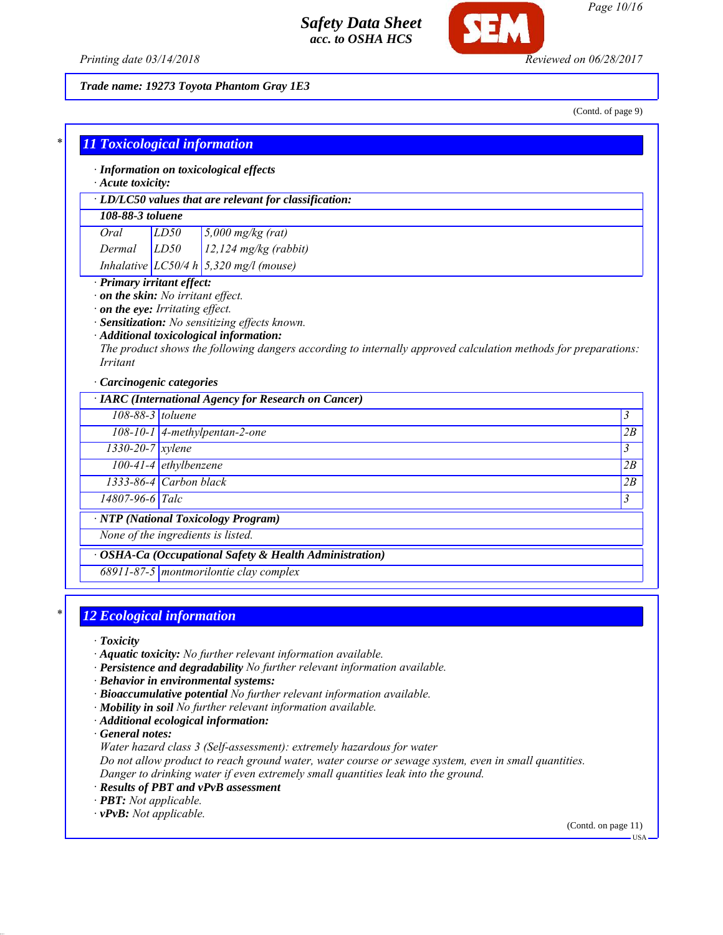

*Page 10/16*

*Printing date 03/14/2018 Reviewed on 06/28/2017*

*Trade name: 19273 Toyota Phantom Gray 1E3*

(Contd. of page 9)

| · LD/LC50 values that are relevant for classification:                                                                                                                                                                                                                                                                                    |                                                              |  |                               |
|-------------------------------------------------------------------------------------------------------------------------------------------------------------------------------------------------------------------------------------------------------------------------------------------------------------------------------------------|--------------------------------------------------------------|--|-------------------------------|
| 108-88-3 toluene                                                                                                                                                                                                                                                                                                                          |                                                              |  |                               |
| Oral                                                                                                                                                                                                                                                                                                                                      | LD50<br>$5,000$ mg/kg (rat)                                  |  |                               |
| Dermal                                                                                                                                                                                                                                                                                                                                    | LD50<br>$12,124$ mg/kg (rabbit)                              |  |                               |
|                                                                                                                                                                                                                                                                                                                                           | Inhalative $LC50/4 h \overline{)5,320 \text{ mg}}/1$ (mouse) |  |                               |
| $\cdot$ on the skin: No irritant effect.<br>on the eye: Irritating effect.<br>· Sensitization: No sensitizing effects known.<br>· Additional toxicological information:<br>The product shows the following dangers according to internally approved calculation methods for preparations:<br><i>Irritant</i><br>· Carcinogenic categories |                                                              |  |                               |
|                                                                                                                                                                                                                                                                                                                                           | · IARC (International Agency for Research on Cancer)         |  |                               |
| 108-88-3 toluene                                                                                                                                                                                                                                                                                                                          |                                                              |  | $\mathfrak{Z}$                |
|                                                                                                                                                                                                                                                                                                                                           | 108-10-1 4-methylpentan-2-one                                |  | 2B                            |
| $1330-20-7$ xylene                                                                                                                                                                                                                                                                                                                        |                                                              |  | 3                             |
|                                                                                                                                                                                                                                                                                                                                           | $100-41-4$ ethylbenzene                                      |  | 2B                            |
|                                                                                                                                                                                                                                                                                                                                           | $1333-86-4$ Carbon black                                     |  |                               |
| 14807-96-6 Talc                                                                                                                                                                                                                                                                                                                           |                                                              |  | 2B<br>$\overline{\mathbf{3}}$ |

# *\* 12 Ecological information*

*· Toxicity*

- *· Aquatic toxicity: No further relevant information available.*
- *· Persistence and degradability No further relevant information available.*
- *· Behavior in environmental systems:*
- *· Bioaccumulative potential No further relevant information available.*
- *· Mobility in soil No further relevant information available.*
- *· Additional ecological information:*

*· General notes:*

*Water hazard class 3 (Self-assessment): extremely hazardous for water*

*Do not allow product to reach ground water, water course or sewage system, even in small quantities. Danger to drinking water if even extremely small quantities leak into the ground.*

- *· Results of PBT and vPvB assessment*
- *· PBT: Not applicable.*
- *· vPvB: Not applicable.*

(Contd. on page 11)

USA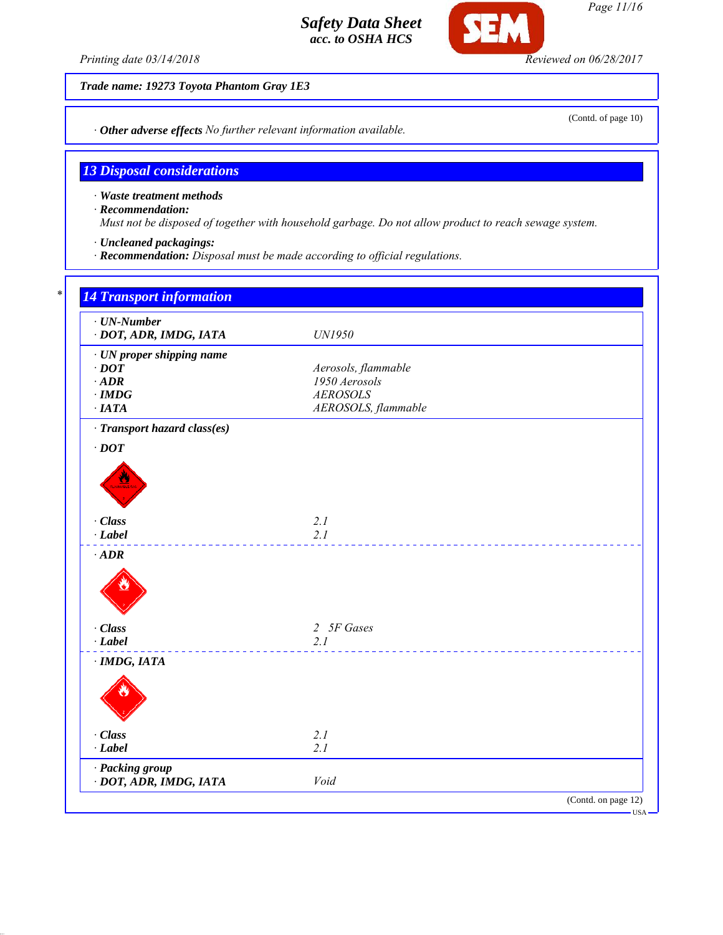*Printing date 03/14/2018 Reviewed on 06/28/2017*

(Contd. of page 10)

*Trade name: 19273 Toyota Phantom Gray 1E3*

*· Other adverse effects No further relevant information available.*

### *13 Disposal considerations*

*· Waste treatment methods*

*· Recommendation:*

*Must not be disposed of together with household garbage. Do not allow product to reach sewage system.*

- *· Uncleaned packagings:*
- *· Recommendation: Disposal must be made according to official regulations.*

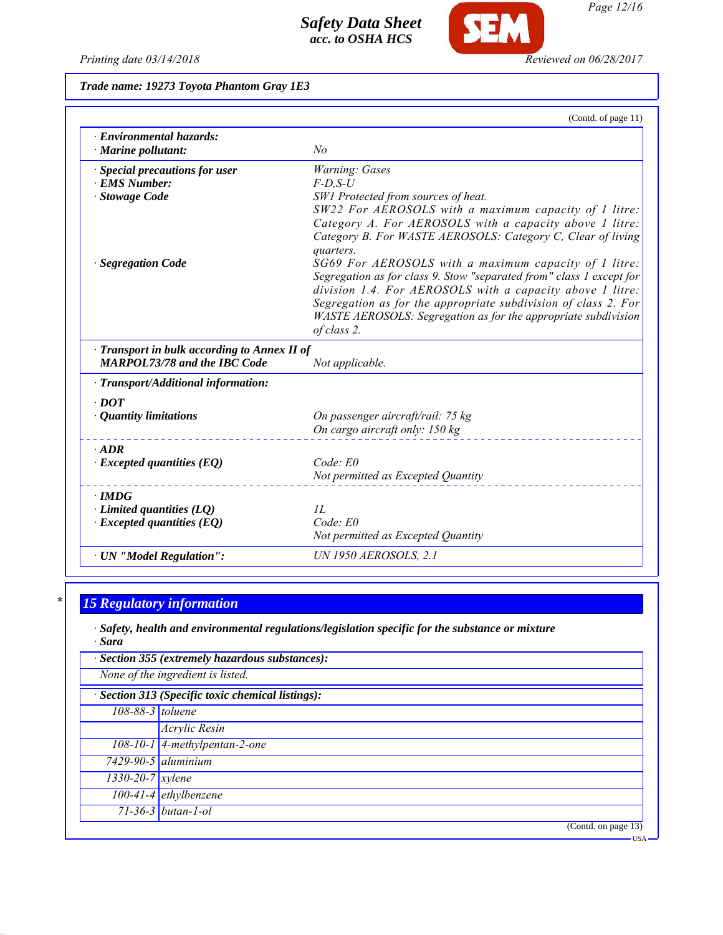

**SEM** 

*Trade name: 19273 Toyota Phantom Gray 1E3*

|                                                                                              | (Contd. of page 11)                                                                                                                                                                                                                                                                                                          |
|----------------------------------------------------------------------------------------------|------------------------------------------------------------------------------------------------------------------------------------------------------------------------------------------------------------------------------------------------------------------------------------------------------------------------------|
| · Environmental hazards:<br>$\cdot$ Marine pollutant:                                        | No                                                                                                                                                                                                                                                                                                                           |
| · Special precautions for user<br>· EMS Number:<br>· Stowage Code<br><b>Segregation Code</b> | Warning: Gases<br>$F$ -D,S-U<br>SW1 Protected from sources of heat.<br>SW22 For AEROSOLS with a maximum capacity of 1 litre:<br>Category A. For AEROSOLS with a capacity above 1 litre:<br>Category B. For WASTE AEROSOLS: Category C, Clear of living<br>quarters.<br>SG69 For AEROSOLS with a maximum capacity of 1 litre: |
|                                                                                              | Segregation as for class 9. Stow "separated from" class 1 except for<br>division 1.4. For AEROSOLS with a capacity above 1 litre:<br>Segregation as for the appropriate subdivision of class 2. For<br>WASTE AEROSOLS: Segregation as for the appropriate subdivision<br>of class 2.                                         |
| Transport in bulk according to Annex II of<br><b>MARPOL73/78 and the IBC Code</b>            | Not applicable.                                                                                                                                                                                                                                                                                                              |
| $\cdot$ Transport/Additional information:                                                    |                                                                                                                                                                                                                                                                                                                              |
| $\cdot$ DOT<br>• Quantity limitations                                                        | On passenger aircraft/rail: 75 kg<br>On cargo aircraft only: 150 kg                                                                                                                                                                                                                                                          |
| $\cdot$ ADR<br>$\cdot$ Excepted quantities (EQ)                                              | $Code$ : $E0$<br>Not permitted as Excepted Quantity                                                                                                                                                                                                                                                                          |
| $\cdot$ IMDG<br>$\cdot$ Limited quantities (LQ)<br>$\cdot$ Excepted quantities (EQ)          | II.<br>Code: E0<br>Not permitted as Excepted Quantity                                                                                                                                                                                                                                                                        |
| · UN "Model Regulation":                                                                     | <b>UN 1950 AEROSOLS, 2.1</b>                                                                                                                                                                                                                                                                                                 |

# *\* 15 Regulatory information*

*· Safety, health and environmental regulations/legislation specific for the substance or mixture · Sara*

|                                                   | · Section 355 (extremely hazardous substances): |  |  |
|---------------------------------------------------|-------------------------------------------------|--|--|
|                                                   | None of the ingredient is listed.               |  |  |
| · Section 313 (Specific toxic chemical listings): |                                                 |  |  |
| 108-88-3 toluene                                  |                                                 |  |  |
|                                                   | Acrylic Resin                                   |  |  |
|                                                   | $108-10-1$ 4-methylpentan-2-one                 |  |  |
|                                                   | $7429 - 90 - 5$ aluminium                       |  |  |
| $1330 - 20 - 7$ <i>xylene</i>                     |                                                 |  |  |
|                                                   | $\overline{100}$ -41-4 ethylbenzene             |  |  |
|                                                   | $71 - 36 - 3$ butan-1-ol                        |  |  |
|                                                   | (Contd. on page 13)                             |  |  |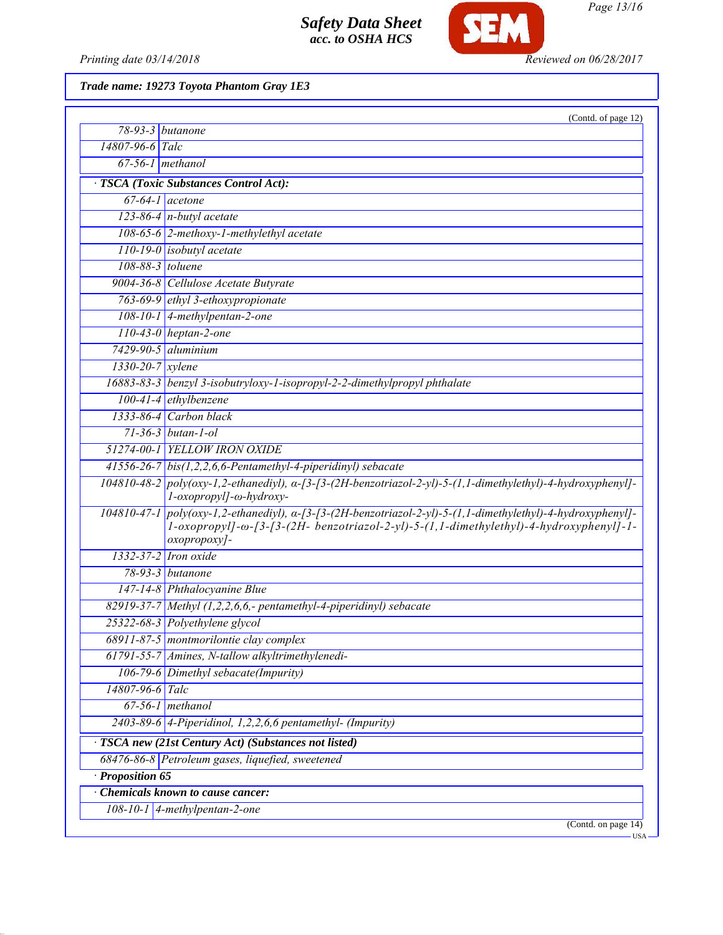

*Page 13/16*

Printing date 03/14/2018 **Reviewed on 06/28/2017** 

*Trade name: 19273 Toyota Phantom Gray 1E3*

|                    | (Contd. of page 12)                                                                                                                                                                                                    |
|--------------------|------------------------------------------------------------------------------------------------------------------------------------------------------------------------------------------------------------------------|
| $78-93-3$ butanone |                                                                                                                                                                                                                        |
| 14807-96-6 Talc    |                                                                                                                                                                                                                        |
| $67-56-1$ methanol |                                                                                                                                                                                                                        |
|                    | · TSCA (Toxic Substances Control Act):                                                                                                                                                                                 |
| $67-64-1$ acetone  |                                                                                                                                                                                                                        |
|                    | 123-86-4 $n$ -butyl acetate                                                                                                                                                                                            |
|                    | 108-65-6 2-methoxy-1-methylethyl acetate                                                                                                                                                                               |
|                    | $110-19-0$ isobutyl acetate                                                                                                                                                                                            |
| $108-88-3$ toluene |                                                                                                                                                                                                                        |
|                    | 9004-36-8 Cellulose Acetate Butyrate                                                                                                                                                                                   |
|                    | 763-69-9 ethyl 3-ethoxypropionate                                                                                                                                                                                      |
|                    | $108-10-1$ 4-methylpentan-2-one                                                                                                                                                                                        |
|                    | $110-43-0$ heptan-2-one                                                                                                                                                                                                |
|                    | $7429 - 90 - 5$ aluminium                                                                                                                                                                                              |
| $1330-20-7$ xylene |                                                                                                                                                                                                                        |
|                    | 16883-83-3 benzyl 3-isobutryloxy-1-isopropyl-2-2-dimethylpropyl phthalate                                                                                                                                              |
|                    | $100-41-4$ ethylbenzene                                                                                                                                                                                                |
|                    | 1333-86-4 Carbon black                                                                                                                                                                                                 |
|                    | $71 - 36 - 3$ butan-1-ol                                                                                                                                                                                               |
|                    | 51274-00-1 YELLOW IRON OXIDE                                                                                                                                                                                           |
|                    | $41556-26-7$ bis(1,2,2,6,6-Pentamethyl-4-piperidinyl) sebacate                                                                                                                                                         |
|                    | 104810-48-2 poly(oxy-1,2-ethanediyl), a-[3-[3-(2H-benzotriazol-2-yl)-5-(1,1-dimethylethyl)-4-hydroxyphenyl]-<br>l-oxopropyl]-ω-hydroxy-                                                                                |
|                    | 104810-47-1 poly(oxy-1,2-ethanediyl), a-[3-[3-(2H-benzotriazol-2-yl)-5-(1,1-dimethylethyl)-4-hydroxyphenyl]-<br>1-oxopropyl]-ω-[3-[3-(2H- benzotriazol-2-yl)-5-(1,1-dimethylethyl)-4-hydroxyphenyl]-1-<br>oxopropoxy]- |
|                    | 1332-37-2 Iron oxide                                                                                                                                                                                                   |
|                    | 78-93-3 butanone                                                                                                                                                                                                       |
|                    | 147-14-8 Phthalocyanine Blue                                                                                                                                                                                           |
|                    | $82919-37-7$ Methyl (1,2,2,6,6,- pentamethyl-4-piperidinyl) sebacate                                                                                                                                                   |
|                    | 25322-68-3 Polyethylene glycol                                                                                                                                                                                         |
|                    | 68911-87-5 montmorilontie clay complex                                                                                                                                                                                 |
|                    | 61791-55-7 Amines, N-tallow alkyltrimethylenedi-                                                                                                                                                                       |
|                    | 106-79-6 Dimethyl sebacate(Impurity)                                                                                                                                                                                   |
| 14807-96-6 Talc    |                                                                                                                                                                                                                        |
|                    | $67-56-1$ methanol                                                                                                                                                                                                     |
|                    | 2403-89-6 4-Piperidinol, 1,2,2,6,6 pentamethyl- (Impurity)                                                                                                                                                             |
|                    | TSCA new (21st Century Act) (Substances not listed)                                                                                                                                                                    |
|                    | 68476-86-8 Petroleum gases, liquefied, sweetened                                                                                                                                                                       |
| · Proposition 65   |                                                                                                                                                                                                                        |
|                    | <b>Chemicals known to cause cancer:</b>                                                                                                                                                                                |
|                    | $108-10-1$ 4-methylpentan-2-one                                                                                                                                                                                        |
|                    | (Contd. on page $14$ )<br><b>USA</b>                                                                                                                                                                                   |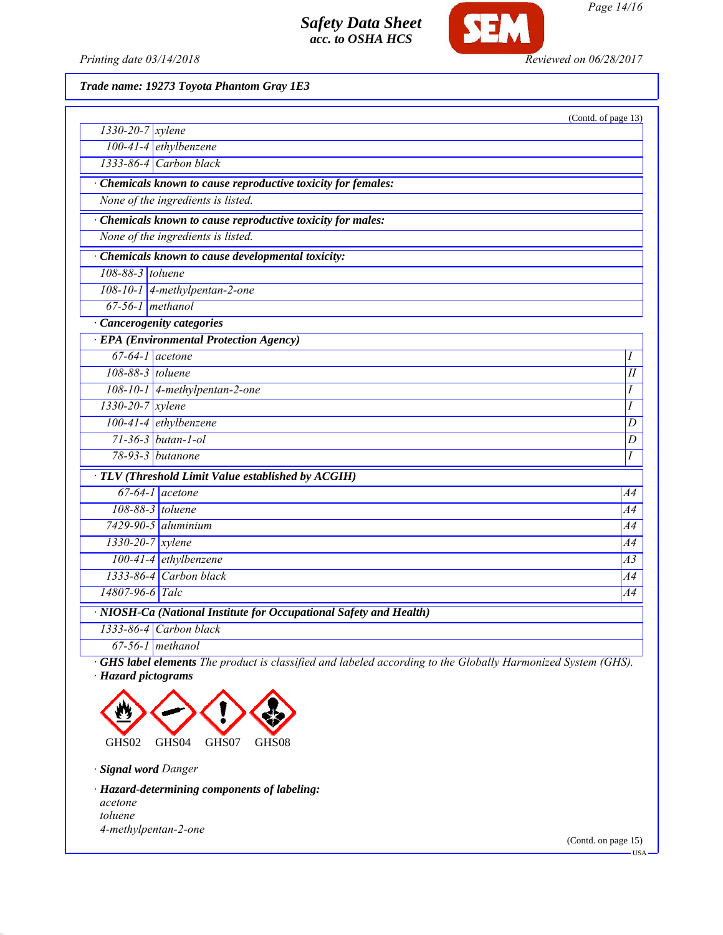

*Page 14/16*

*Printing date 03/14/2018 Reviewed on 06/28/2017*

*Trade name: 19273 Toyota Phantom Gray 1E3*

|                                                                    |                                                             | (Contd. of page 13) |  |
|--------------------------------------------------------------------|-------------------------------------------------------------|---------------------|--|
| $\sqrt{1330-20-7}$ xylene                                          |                                                             |                     |  |
|                                                                    | 100-41-4 ethylbenzene                                       |                     |  |
|                                                                    | 1333-86-4 Carbon black                                      |                     |  |
|                                                                    | Chemicals known to cause reproductive toxicity for females: |                     |  |
|                                                                    | None of the ingredients is listed.                          |                     |  |
|                                                                    | Chemicals known to cause reproductive toxicity for males:   |                     |  |
|                                                                    | None of the ingredients is listed.                          |                     |  |
|                                                                    | · Chemicals known to cause developmental toxicity:          |                     |  |
| 108-88-3 toluene                                                   |                                                             |                     |  |
|                                                                    | 108-10-1 4-methylpentan-2-one                               |                     |  |
| $67-56-1$ methanol                                                 |                                                             |                     |  |
| · Cancerogenity categories                                         |                                                             |                     |  |
|                                                                    | <b>EPA</b> (Environmental Protection Agency)                |                     |  |
| $67-64-1$ acetone                                                  |                                                             | Ι                   |  |
| 108-88-3 toluene                                                   |                                                             | I                   |  |
|                                                                    | 108-10-1 4-methylpentan-2-one                               | Ι                   |  |
| $1330 - 20 - 7$ xylene                                             |                                                             | Ι                   |  |
|                                                                    | 100-41-4 ethylbenzene                                       | D                   |  |
|                                                                    | $71-36-3$ butan-1-ol                                        | D                   |  |
|                                                                    | 78-93-3 <i>butanone</i>                                     | Ι                   |  |
| · TLV (Threshold Limit Value established by ACGIH)                 |                                                             |                     |  |
|                                                                    | $67-64-1$ acetone                                           | A4                  |  |
| 108-88-3 toluene                                                   |                                                             | A4                  |  |
|                                                                    | $7429 - 90 - 5$ aluminium                                   | A4                  |  |
| $1330 - 20 - 7$ <i>xylene</i>                                      |                                                             | A4                  |  |
|                                                                    | $100-41-4$ ethylbenzene                                     | A <sub>3</sub>      |  |
|                                                                    | 1333-86-4 Carbon black                                      | A4                  |  |
| 14807-96-6 Talc                                                    |                                                             | A4                  |  |
| · NIOSH-Ca (National Institute for Occupational Safety and Health) |                                                             |                     |  |
|                                                                    | 1333-86-4 Carbon black                                      |                     |  |
|                                                                    | $67-56-1$ methanol                                          |                     |  |

*· GHS label elements The product is classified and labeled according to the Globally Harmonized System (GHS). · Hazard pictograms*



*· Signal word Danger*

*· Hazard-determining components of labeling: acetone toluene 4-methylpentan-2-one*

(Contd. on page 15)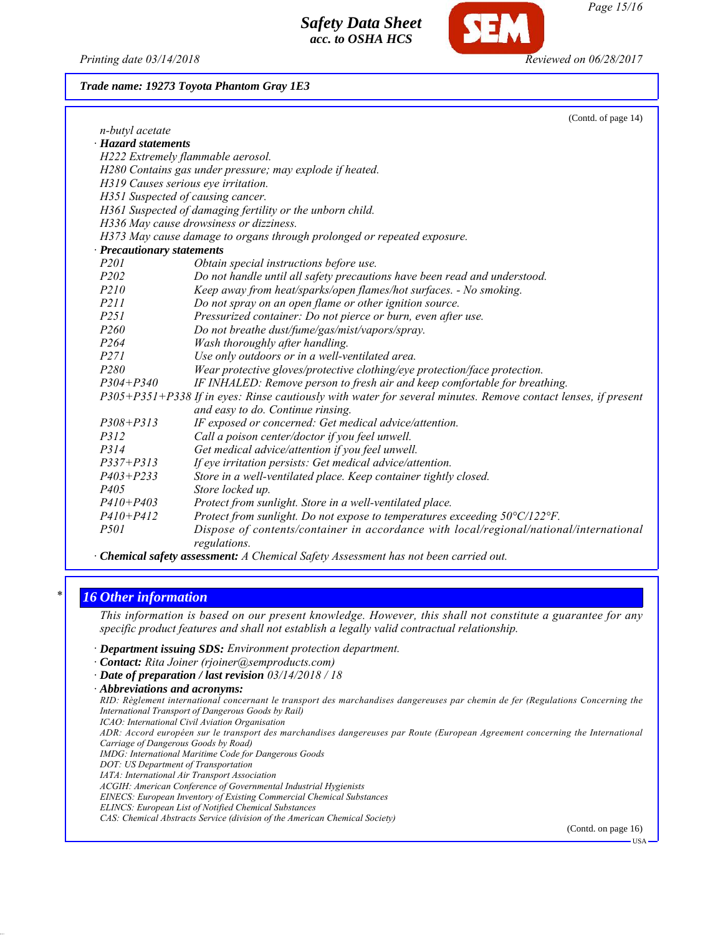

### *Trade name: 19273 Toyota Phantom Gray 1E3*

|                            | (Contd. of page 14)                                                                                                                                                                                                                                                                                                                                                                  |  |
|----------------------------|--------------------------------------------------------------------------------------------------------------------------------------------------------------------------------------------------------------------------------------------------------------------------------------------------------------------------------------------------------------------------------------|--|
| n-butyl acetate            |                                                                                                                                                                                                                                                                                                                                                                                      |  |
| · Hazard statements        |                                                                                                                                                                                                                                                                                                                                                                                      |  |
|                            | H222 Extremely flammable aerosol.                                                                                                                                                                                                                                                                                                                                                    |  |
|                            | H280 Contains gas under pressure; may explode if heated.                                                                                                                                                                                                                                                                                                                             |  |
|                            | H319 Causes serious eye irritation.                                                                                                                                                                                                                                                                                                                                                  |  |
|                            | H351 Suspected of causing cancer.                                                                                                                                                                                                                                                                                                                                                    |  |
|                            | H361 Suspected of damaging fertility or the unborn child.                                                                                                                                                                                                                                                                                                                            |  |
|                            | H336 May cause drowsiness or dizziness.                                                                                                                                                                                                                                                                                                                                              |  |
|                            | H373 May cause damage to organs through prolonged or repeated exposure.                                                                                                                                                                                                                                                                                                              |  |
| · Precautionary statements |                                                                                                                                                                                                                                                                                                                                                                                      |  |
| P <sub>201</sub>           | Obtain special instructions before use.                                                                                                                                                                                                                                                                                                                                              |  |
| P <sub>202</sub>           | Do not handle until all safety precautions have been read and understood.                                                                                                                                                                                                                                                                                                            |  |
| <i>P210</i>                | Keep away from heat/sparks/open flames/hot surfaces. - No smoking.                                                                                                                                                                                                                                                                                                                   |  |
| <i>P211</i>                | Do not spray on an open flame or other ignition source.                                                                                                                                                                                                                                                                                                                              |  |
| P251                       | Pressurized container: Do not pierce or burn, even after use.                                                                                                                                                                                                                                                                                                                        |  |
| P <sub>260</sub>           | Do not breathe dust/fume/gas/mist/vapors/spray.                                                                                                                                                                                                                                                                                                                                      |  |
| P <sub>264</sub>           | Wash thoroughly after handling.                                                                                                                                                                                                                                                                                                                                                      |  |
| P271                       | Use only outdoors or in a well-ventilated area.                                                                                                                                                                                                                                                                                                                                      |  |
| P280                       | Wear protective gloves/protective clothing/eye protection/face protection.                                                                                                                                                                                                                                                                                                           |  |
| $P304 + P340$              | IF INHALED: Remove person to fresh air and keep comfortable for breathing.                                                                                                                                                                                                                                                                                                           |  |
|                            | P305+P351+P338 If in eyes: Rinse cautiously with water for several minutes. Remove contact lenses, if present<br>and easy to do. Continue rinsing.                                                                                                                                                                                                                                   |  |
| $P308 + P313$              | IF exposed or concerned: Get medical advice/attention.                                                                                                                                                                                                                                                                                                                               |  |
| P312                       | Call a poison center/doctor if you feel unwell.                                                                                                                                                                                                                                                                                                                                      |  |
| P314                       | Get medical advice/attention if you feel unwell.                                                                                                                                                                                                                                                                                                                                     |  |
| $P337 + P313$              | If eye irritation persists: Get medical advice/attention.                                                                                                                                                                                                                                                                                                                            |  |
| $P403 + P233$              | Store in a well-ventilated place. Keep container tightly closed.                                                                                                                                                                                                                                                                                                                     |  |
| P <sub>405</sub>           | Store locked up.                                                                                                                                                                                                                                                                                                                                                                     |  |
| $P410 + P403$              | Protect from sunlight. Store in a well-ventilated place.                                                                                                                                                                                                                                                                                                                             |  |
| $P410 + P412$              | Protect from sunlight. Do not expose to temperatures exceeding 50°C/122°F.                                                                                                                                                                                                                                                                                                           |  |
| <i>P501</i>                | Dispose of contents/container in accordance with local/regional/national/international<br>regulations.                                                                                                                                                                                                                                                                               |  |
| $\sim$<br>$\cdots$         | $\overline{1}$ $\overline{1}$ $\overline{1}$ $\overline{1}$ $\overline{1}$ $\overline{1}$ $\overline{1}$ $\overline{1}$ $\overline{1}$ $\overline{1}$ $\overline{1}$ $\overline{1}$ $\overline{1}$ $\overline{1}$ $\overline{1}$ $\overline{1}$ $\overline{1}$ $\overline{1}$ $\overline{1}$ $\overline{1}$ $\overline{1}$ $\overline{1}$ $\overline{1}$ $\overline{1}$ $\overline{$ |  |

*· Chemical safety assessment: A Chemical Safety Assessment has not been carried out.*

### *\* 16 Other information*

*This information is based on our present knowledge. However, this shall not constitute a guarantee for any specific product features and shall not establish a legally valid contractual relationship.*

*· Department issuing SDS: Environment protection department.*

*· Contact: Rita Joiner (rjoiner@semproducts.com)*

*· Date of preparation / last revision 03/14/2018 / 18*

*· Abbreviations and acronyms:*

*RID: Règlement international concernant le transport des marchandises dangereuses par chemin de fer (Regulations Concerning the International Transport of Dangerous Goods by Rail) ICAO: International Civil Aviation Organisation*

*ADR: Accord européen sur le transport des marchandises dangereuses par Route (European Agreement concerning the International Carriage of Dangerous Goods by Road)*

*IMDG: International Maritime Code for Dangerous Goods*

*DOT: US Department of Transportation*

*IATA: International Air Transport Association*

*ACGIH: American Conference of Governmental Industrial Hygienists EINECS: European Inventory of Existing Commercial Chemical Substances*

*ELINCS: European List of Notified Chemical Substances*

*CAS: Chemical Abstracts Service (division of the American Chemical Society)*

(Contd. on page 16)